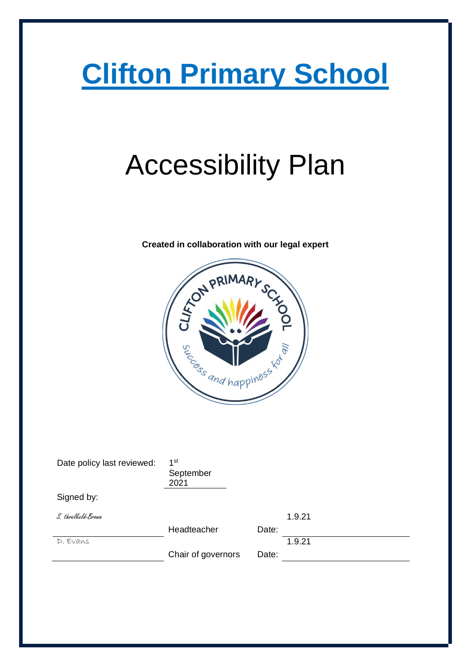# **Clifton Primary School**

# Accessibility Plan

# See And happines

Date policy last reviewed: 1<sup>st</sup> September 2021 Signed by: S. threlkeld-Brown Headteacher Date: 1.9.21 D. Evans Chair of governors Date: 1.9.21

**Created in collaboration with our legal expert**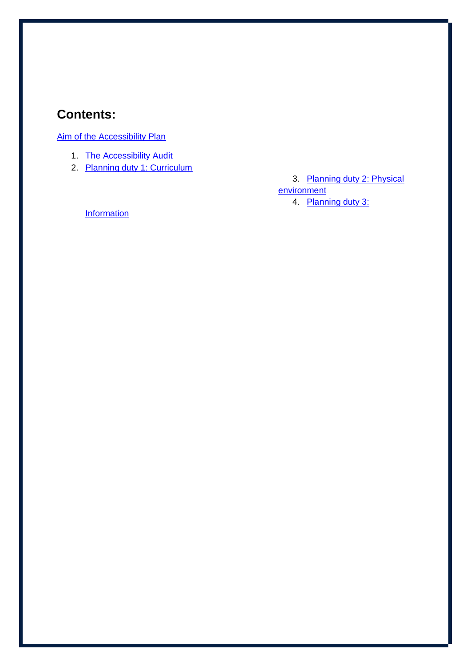### **Contents:**

Aim of the Accessibility Plan

- 1. The Accessibility Audit
- 2. Planning duty 1: Curriculum

3. Planning duty 2: Physical **environment** 4. Planning duty 3:

**Information**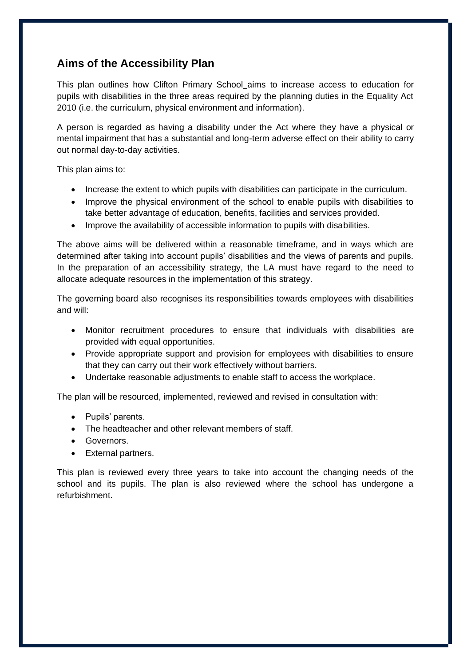#### **Aims of the Accessibility Plan**

This plan outlines how Clifton Primary School aims to increase access to education for pupils with disabilities in the three areas required by the planning duties in the Equality Act 2010 (i.e. the curriculum, physical environment and information).

A person is regarded as having a disability under the Act where they have a physical or mental impairment that has a substantial and long-term adverse effect on their ability to carry out normal day-to-day activities.

This plan aims to:

- Increase the extent to which pupils with disabilities can participate in the curriculum.
- Improve the physical environment of the school to enable pupils with disabilities to take better advantage of education, benefits, facilities and services provided.
- Improve the availability of accessible information to pupils with disabilities.

The above aims will be delivered within a reasonable timeframe, and in ways which are determined after taking into account pupils' disabilities and the views of parents and pupils. In the preparation of an accessibility strategy, the LA must have regard to the need to allocate adequate resources in the implementation of this strategy.

The governing board also recognises its responsibilities towards employees with disabilities and will:

- Monitor recruitment procedures to ensure that individuals with disabilities are provided with equal opportunities.
- Provide appropriate support and provision for employees with disabilities to ensure that they can carry out their work effectively without barriers.
- Undertake reasonable adjustments to enable staff to access the workplace.

The plan will be resourced, implemented, reviewed and revised in consultation with:

- Pupils' parents.
- The headteacher and other relevant members of staff.
- Governors.
- External partners.

This plan is reviewed every three years to take into account the changing needs of the school and its pupils. The plan is also reviewed where the school has undergone a refurbishment.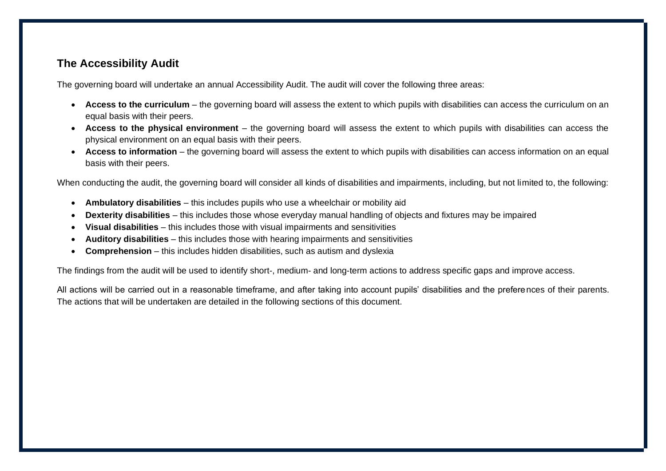#### **The Accessibility Audit**

The governing board will undertake an annual Accessibility Audit. The audit will cover the following three areas:

- **Access to the curriculum**  the governing board will assess the extent to which pupils with disabilities can access the curriculum on an equal basis with their peers.
- **Access to the physical environment**  the governing board will assess the extent to which pupils with disabilities can access the physical environment on an equal basis with their peers.
- Access to information the governing board will assess the extent to which pupils with disabilities can access information on an equal basis with their peers.

When conducting the audit, the governing board will consider all kinds of disabilities and impairments, including, but not limited to, the following:

- **Ambulatory disabilities**  this includes pupils who use a wheelchair or mobility aid
- **Dexterity disabilities**  this includes those whose everyday manual handling of objects and fixtures may be impaired
- **Visual disabilities**  this includes those with visual impairments and sensitivities
- **Auditory disabilities**  this includes those with hearing impairments and sensitivities
- **Comprehension**  this includes hidden disabilities, such as autism and dyslexia

The findings from the audit will be used to identify short-, medium- and long-term actions to address specific gaps and improve access.

All actions will be carried out in a reasonable timeframe, and after taking into account pupils' disabilities and the preferences of their parents. The actions that will be undertaken are detailed in the following sections of this document.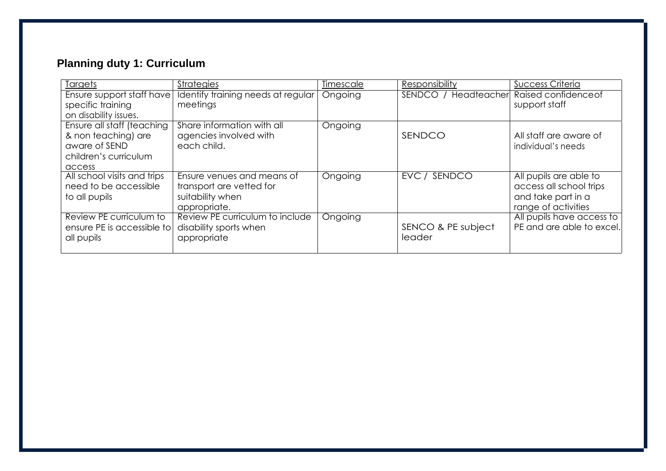## **Planning duty 1: Curriculum**

| Targets                     | <b>Strategies</b>                  | <b>Timescale</b> | Responsibility       | <b>Success Criteria</b>   |
|-----------------------------|------------------------------------|------------------|----------------------|---------------------------|
| Ensure support staff have   | Identify training needs at regular | Ongoing          | SENDCO / Headteacher | Raised confidence of      |
| specific training           | meetings                           |                  |                      | support staff             |
| on disability issues.       |                                    |                  |                      |                           |
| Ensure all staff (teaching  | Share information with all         | Ongoing          |                      |                           |
| & non teaching) are         | agencies involved with             |                  | SENDCO               | All staff are aware of    |
| aware of SEND               | each child.                        |                  |                      | individual's needs        |
| children's curriculum       |                                    |                  |                      |                           |
| access                      |                                    |                  |                      |                           |
| All school visits and trips | Ensure venues and means of         | Ongoing          | SENDCO<br>EVC/       | All pupils are able to    |
| need to be accessible       | transport are vetted for           |                  |                      | access all school trips   |
| to all pupils               | suitability when                   |                  |                      | and take part in a        |
|                             | appropriate.                       |                  |                      | range of activities       |
| Review PE curriculum to     | Review PE curriculum to include    | Ongoing          |                      | All pupils have access to |
| ensure PE is accessible to  | disability sports when             |                  | SENCO & PE subject   | PE and are able to excel. |
| all pupils                  | appropriate                        |                  | leader               |                           |
|                             |                                    |                  |                      |                           |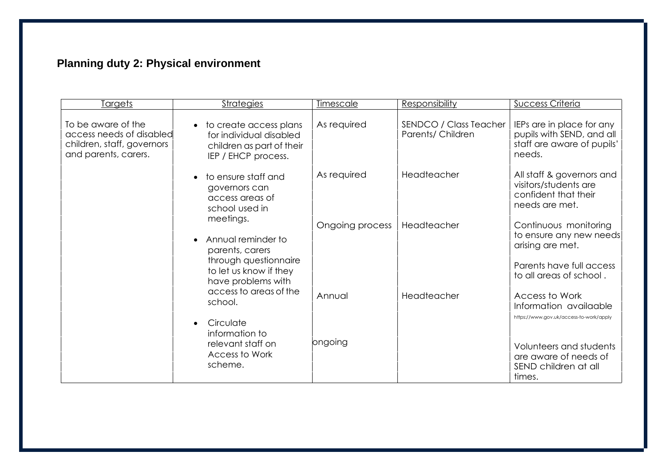# **Planning duty 2: Physical environment**

| <u>Targets</u>                                                                                       | <b>Strategies</b>                                                                                                                                                                                                                                                                                                              | <b>Timescale</b> | <b>Responsibility</b>                       | <b>Success Criteria</b>                                                                        |
|------------------------------------------------------------------------------------------------------|--------------------------------------------------------------------------------------------------------------------------------------------------------------------------------------------------------------------------------------------------------------------------------------------------------------------------------|------------------|---------------------------------------------|------------------------------------------------------------------------------------------------|
| To be aware of the<br>access needs of disabled<br>children, staff, governors<br>and parents, carers. | • to create access plans<br>for individual disabled<br>children as part of their<br>IEP / EHCP process.                                                                                                                                                                                                                        | As required      | SENDCO / Class Teacher<br>Parents/ Children | IEPs are in place for any<br>pupils with SEND, and all<br>staff are aware of pupils'<br>needs. |
|                                                                                                      | to ensure staff and<br>governors can<br>access areas of<br>school used in<br>meetings.<br>Annual reminder to<br>parents, carers<br>through questionnaire<br>to let us know if they<br>have problems with<br>access to areas of the<br>school.<br>Circulate<br>information to<br>relevant staff on<br>Access to Work<br>scheme. | As required      | Headteacher                                 | All staff & governors and<br>visitors/students are<br>confident that their<br>needs are met.   |
|                                                                                                      |                                                                                                                                                                                                                                                                                                                                | Ongoing process  | Headteacher                                 | Continuous monitoring<br>to ensure any new needs<br>arising are met.                           |
|                                                                                                      |                                                                                                                                                                                                                                                                                                                                | Annual           | Headteacher                                 | Parents have full access<br>to all areas of school.<br>Access to Work                          |
|                                                                                                      |                                                                                                                                                                                                                                                                                                                                |                  |                                             | Information availaable<br>https://www.gov.uk/access-to-work/apply                              |
|                                                                                                      |                                                                                                                                                                                                                                                                                                                                | ongoing          |                                             | Volunteers and students<br>are aware of needs of<br>SEND children at all<br>times.             |